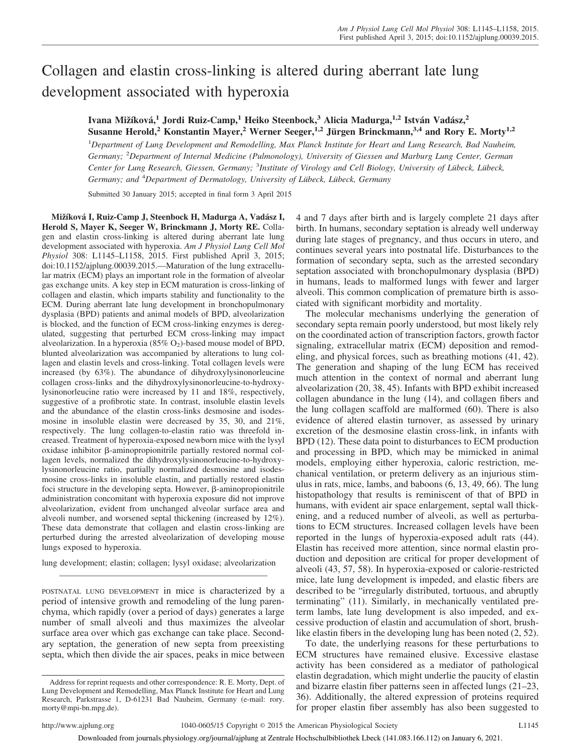# Collagen and elastin cross-linking is altered during aberrant late lung development associated with hyperoxia

**Ivana Mižíková,<sup>1</sup> Jordi Ruiz-Camp,<sup>1</sup> Heiko Steenbock,<sup>3</sup> Alicia Madurga,1,2 István Vadász,<sup>2</sup> Susanne Herold,<sup>2</sup> Konstantin Mayer,<sup>2</sup> Werner Seeger,1,2 Jürgen Brinckmann,3,4 and Rory E. Morty1,2**

<sup>1</sup>*Department of Lung Development and Remodelling, Max Planck Institute for Heart and Lung Research, Bad Nauheim, Germany;* <sup>2</sup>*Department of Internal Medicine (Pulmonology), University of Giessen and Marburg Lung Center, German Center for Lung Research, Giessen, Germany;* <sup>3</sup> *Institute of Virology and Cell Biology, University of Lübeck, Lübeck, Germany; and* <sup>4</sup>*Department of Dermatology, University of Lübeck, Lübeck, Germany*

Submitted 30 January 2015; accepted in final form 3 April 2015

**Mižíková I, Ruiz-Camp J, Steenbock H, Madurga A, Vadász I, Herold S, Mayer K, Seeger W, Brinckmann J, Morty RE.** Collagen and elastin cross-linking is altered during aberrant late lung development associated with hyperoxia. *Am J Physiol Lung Cell Mol Physiol* 308: L1145–L1158, 2015. First published April 3, 2015; doi:10.1152/ajplung.00039.2015.—Maturation of the lung extracellular matrix (ECM) plays an important role in the formation of alveolar gas exchange units. A key step in ECM maturation is cross-linking of collagen and elastin, which imparts stability and functionality to the ECM. During aberrant late lung development in bronchopulmonary dysplasia (BPD) patients and animal models of BPD, alveolarization is blocked, and the function of ECM cross-linking enzymes is deregulated, suggesting that perturbed ECM cross-linking may impact alveolarization. In a hyperoxia  $(85\% O<sub>2</sub>)$ -based mouse model of BPD, blunted alveolarization was accompanied by alterations to lung collagen and elastin levels and cross-linking. Total collagen levels were increased (by 63%). The abundance of dihydroxylysinonorleucine collagen cross-links and the dihydroxylysinonorleucine-to-hydroxylysinonorleucine ratio were increased by 11 and 18%, respectively, suggestive of a profibrotic state. In contrast, insoluble elastin levels and the abundance of the elastin cross-links desmosine and isodesmosine in insoluble elastin were decreased by 35, 30, and 21%, respectively. The lung collagen-to-elastin ratio was threefold increased. Treatment of hyperoxia-exposed newborn mice with the lysyl oxidase inhibitor  $\beta$ -aminopropionitrile partially restored normal collagen levels, normalized the dihydroxylysinonorleucine-to-hydroxylysinonorleucine ratio, partially normalized desmosine and isodesmosine cross-links in insoluble elastin, and partially restored elastin foci structure in the developing septa. However,  $\beta$ -aminopropionitrile administration concomitant with hyperoxia exposure did not improve alveolarization, evident from unchanged alveolar surface area and alveoli number, and worsened septal thickening (increased by 12%). These data demonstrate that collagen and elastin cross-linking are perturbed during the arrested alveolarization of developing mouse lungs exposed to hyperoxia.

lung development; elastin; collagen; lysyl oxidase; alveolarization

POSTNATAL LUNG DEVELOPMENT in mice is characterized by a period of intensive growth and remodeling of the lung parenchyma, which rapidly (over a period of days) generates a large number of small alveoli and thus maximizes the alveolar surface area over which gas exchange can take place. Secondary septation, the generation of new septa from preexisting septa, which then divide the air spaces, peaks in mice between 4 and 7 days after birth and is largely complete 21 days after birth. In humans, secondary septation is already well underway during late stages of pregnancy, and thus occurs in utero, and continues several years into postnatal life. Disturbances to the formation of secondary septa, such as the arrested secondary septation associated with bronchopulmonary dysplasia (BPD) in humans, leads to malformed lungs with fewer and larger alveoli. This common complication of premature birth is associated with significant morbidity and mortality.

The molecular mechanisms underlying the generation of secondary septa remain poorly understood, but most likely rely on the coordinated action of transcription factors, growth factor signaling, extracellular matrix (ECM) deposition and remodeling, and physical forces, such as breathing motions (41, 42). The generation and shaping of the lung ECM has received much attention in the context of normal and aberrant lung alveolarization (20, 38, 45). Infants with BPD exhibit increased collagen abundance in the lung (14), and collagen fibers and the lung collagen scaffold are malformed (60). There is also evidence of altered elastin turnover, as assessed by urinary excretion of the desmosine elastin cross-link, in infants with BPD (12). These data point to disturbances to ECM production and processing in BPD, which may be mimicked in animal models, employing either hyperoxia, caloric restriction, mechanical ventilation, or preterm delivery as an injurious stimulus in rats, mice, lambs, and baboons (6, 13, 49, 66). The lung histopathology that results is reminiscent of that of BPD in humans, with evident air space enlargement, septal wall thickening, and a reduced number of alveoli, as well as perturbations to ECM structures. Increased collagen levels have been reported in the lungs of hyperoxia-exposed adult rats (44). Elastin has received more attention, since normal elastin production and deposition are critical for proper development of alveoli (43, 57, 58). In hyperoxia-exposed or calorie-restricted mice, late lung development is impeded, and elastic fibers are described to be "irregularly distributed, tortuous, and abruptly terminating" (11). Similarly, in mechanically ventilated preterm lambs, late lung development is also impeded, and excessive production of elastin and accumulation of short, brushlike elastin fibers in the developing lung has been noted (2, 52).

To date, the underlying reasons for these perturbations to ECM structures have remained elusive. Excessive elastase activity has been considered as a mediator of pathological elastin degradation, which might underlie the paucity of elastin and bizarre elastin fiber patterns seen in affected lungs (21–23, 36). Additionally, the altered expression of proteins required for proper elastin fiber assembly has also been suggested to

Address for reprint requests and other correspondence: R. E. Morty, Dept. of Lung Development and Remodelling, Max Planck Institute for Heart and Lung Research, Parkstrasse 1, D-61231 Bad Nauheim, Germany (e-mail: [rory.](mailto:rory.morty@mpi-bn.mpg.de) [morty@mpi-bn.mpg.de\)](mailto:rory.morty@mpi-bn.mpg.de).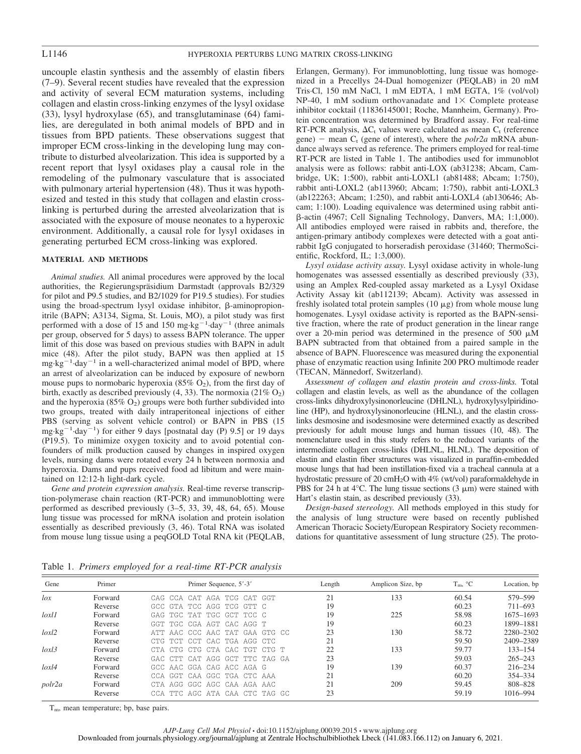uncouple elastin synthesis and the assembly of elastin fibers (7–9). Several recent studies have revealed that the expression and activity of several ECM maturation systems, including collagen and elastin cross-linking enzymes of the lysyl oxidase (33), lysyl hydroxylase (65), and transglutaminase (64) families, are deregulated in both animal models of BPD and in tissues from BPD patients. These observations suggest that improper ECM cross-linking in the developing lung may contribute to disturbed alveolarization. This idea is supported by a recent report that lysyl oxidases play a causal role in the remodeling of the pulmonary vasculature that is associated with pulmonary arterial hypertension (48). Thus it was hypothesized and tested in this study that collagen and elastin crosslinking is perturbed during the arrested alveolarization that is associated with the exposure of mouse neonates to a hyperoxic environment. Additionally, a causal role for lysyl oxidases in generating perturbed ECM cross-linking was explored.

#### **MATERIAL AND METHODS**

*Animal studies.* All animal procedures were approved by the local authorities, the Regierungspräsidium Darmstadt (approvals B2/329 for pilot and P9.5 studies, and B2/1029 for P19.5 studies). For studies using the broad-spectrum lysyl oxidase inhibitor,  $\beta$ -aminopropionitrile (BAPN; A3134, Sigma, St. Louis, MO), a pilot study was first performed with a dose of 15 and 150 mg·kg<sup>-1</sup> day<sup>-1</sup> (three animals per group, observed for 5 days) to assess BAPN tolerance. The upper limit of this dose was based on previous studies with BAPN in adult mice (48). After the pilot study, BAPN was then applied at 15  $mg \cdot kg^{-1}$  day<sup>-1</sup> in a well-characterized animal model of BPD, where an arrest of alveolarization can be induced by exposure of newborn mouse pups to normobaric hyperoxia  $(85\% \text{ O}_2)$ , from the first day of birth, exactly as described previously  $(4, 33)$ . The normoxia  $(21\% O_2)$ and the hyperoxia (85%  $O_2$ ) groups were both further subdivided into two groups, treated with daily intraperitoneal injections of either PBS (serving as solvent vehicle control) or BAPN in PBS (15  $mg \cdot kg^{-1} \cdot day^{-1}$ ) for either 9 days [postnatal day (P) 9.5] or 19 days (P19.5). To minimize oxygen toxicity and to avoid potential confounders of milk production caused by changes in inspired oxygen levels, nursing dams were rotated every 24 h between normoxia and hyperoxia. Dams and pups received food ad libitum and were maintained on 12:12-h light-dark cycle.

*Gene and protein expression analysis.* Real-time reverse transcription-polymerase chain reaction (RT-PCR) and immunoblotting were performed as described previously (3–5, 33, 39, 48, 64, 65). Mouse lung tissue was processed for mRNA isolation and protein isolation essentially as described previously (3, 46). Total RNA was isolated from mouse lung tissue using a peqGOLD Total RNA kit (PEQLAB, Erlangen, Germany). For immunoblotting, lung tissue was homogenized in a Precellys 24-Dual homogenizer (PEQLAB) in 20 mM Tris·Cl, 150 mM NaCl, 1 mM EDTA, 1 mM EGTA, 1% (vol/vol) NP-40, 1 mM sodium orthovanadate and  $1\times$  Complete protease inhibitor cocktail (11836145001; Roche, Mannheim, Germany). Protein concentration was determined by Bradford assay. For real-time RT-PCR analysis,  $\Delta C_t$  values were calculated as mean  $C_t$  (reference gene) – mean  $C_t$  (gene of interest), where the *polr2a* mRNA abundance always served as reference. The primers employed for real-time RT-PCR are listed in Table 1. The antibodies used for immunoblot analysis were as follows: rabbit anti-LOX (ab31238; Abcam, Cambridge, UK; 1:500), rabbit anti-LOXL1 (ab81488; Abcam; 1:750), rabbit anti-LOXL2 (ab113960; Abcam; 1:750), rabbit anti-LOXL3 (ab122263; Abcam; 1:250), and rabbit anti-LOXL4 (ab130646; Abcam; 1:100). Loading equivalence was determined using rabbit anti- --actin (4967; Cell Signaling Technology, Danvers, MA; 1:1,000). All antibodies employed were raised in rabbits and, therefore, the antigen-primary antibody complexes were detected with a goat antirabbit IgG conjugated to horseradish peroxidase (31460; ThermoScientific, Rockford, IL; 1:3,000).

*Lysyl oxidase activity assay.* Lysyl oxidase activity in whole-lung homogenates was assessed essentially as described previously (33), using an Amplex Red-coupled assay marketed as a Lysyl Oxidase Activity Assay kit (ab112139; Abcam). Activity was assessed in freshly isolated total protein samples  $(10 \mu g)$  from whole mouse lung homogenates. Lysyl oxidase activity is reported as the BAPN-sensitive fraction, where the rate of product generation in the linear range over a 20-min period was determined in the presence of 500  $\mu$ M BAPN subtracted from that obtained from a paired sample in the absence of BAPN. Fluorescence was measured during the exponential phase of enzymatic reaction using Infinite 200 PRO multimode reader (TECAN, Männedorf, Switzerland).

*Assessment of collagen and elastin protein and cross-links.* Total collagen and elastin levels, as well as the abundance of the collagen cross-links dihydroxylysinonorleucine (DHLNL), hydroxylysylpiridinoline (HP), and hydroxylysinonorleucine (HLNL), and the elastin crosslinks desmosine and isodesmosine were determined exactly as described previously for adult mouse lungs and human tissues (10, 48). The nomenclature used in this study refers to the reduced variants of the intermediate collagen cross-links (DHLNL, HLNL). The deposition of elastin and elastin fiber structures was visualized in paraffin-embedded mouse lungs that had been instillation-fixed via a tracheal cannula at a hydrostatic pressure of 20 cmH2O with 4% (wt/vol) paraformaldehyde in PBS for 24 h at 4 $\degree$ C. The lung tissue sections (3  $\mu$ m) were stained with Hart's elastin stain, as described previously (33).

*Design-based stereology.* All methods employed in this study for the analysis of lung structure were based on recently published American Thoracic Society/European Respiratory Society recommendations for quantitative assessment of lung structure (25). The proto-

Table 1. *Primers employed for a real-time RT-PCR analysis*

| Gene     | Primer  |       |                                | Primer Sequence, 5'-3' |  |  | Length | Amplicon Size, bp | $T_m$ , ${}^{\circ}C$ | Location, bp |
|----------|---------|-------|--------------------------------|------------------------|--|--|--------|-------------------|-----------------------|--------------|
| $\iota$  | Forward |       | CAG CCA CAT AGA TCG CAT GGT    |                        |  |  | 21     | 133               | 60.54                 | 579-599      |
|          | Reverse |       | GCC GTA TCC AGG TCG GTT C      |                        |  |  | 19     |                   | 60.23                 | $711 - 693$  |
| $lox$ ll | Forward |       | GAG TGC TAT TGC GCT TCC C      |                        |  |  | 19     | 225               | 58.98                 | 1675-1693    |
|          | Reverse |       | GGT TGC CGA AGT CAC AGG T      |                        |  |  | 19     |                   | 60.23                 | 1899-1881    |
| lox12    | Forward |       | ATT AAC CCC AAC TAT GAA GTG CC |                        |  |  | 23     | 130               | 58.72                 | 2280-2302    |
|          | Reverse |       | CTG TCT CCT CAC TGA AGG CTC    |                        |  |  | 21     |                   | 59.50                 | 2409-2389    |
| lox13    | Forward |       | CTA CTG CTG CTA CAC TGT CTG T  |                        |  |  | 22     | 133               | 59.77                 | $133 - 154$  |
|          | Reverse |       | GAC CTT CAT AGG GCT TTC TAG GA |                        |  |  | 23     |                   | 59.03                 | $265 - 243$  |
| $lox$ l4 | Forward |       | GCC AAC GGA CAG ACC AGA G      |                        |  |  | 19     | 139               | 60.37                 | $216 - 234$  |
|          | Reverse |       | CCA GGT CAA GGC TGA CTC AAA    |                        |  |  | 21     |                   | 60.20                 | 354-334      |
| polr2a   | Forward | C.T.A | AGG GGC AGC CAA AGA AAC        |                        |  |  | 21     | 209               | 59.45                 | 808-828      |
|          | Reverse |       | CCA TTC AGC ATA CAA CTC TAG GC |                        |  |  | 23     |                   | 59.19                 | 1016-994     |

T<sub>m</sub>, mean temperature; bp, base pairs.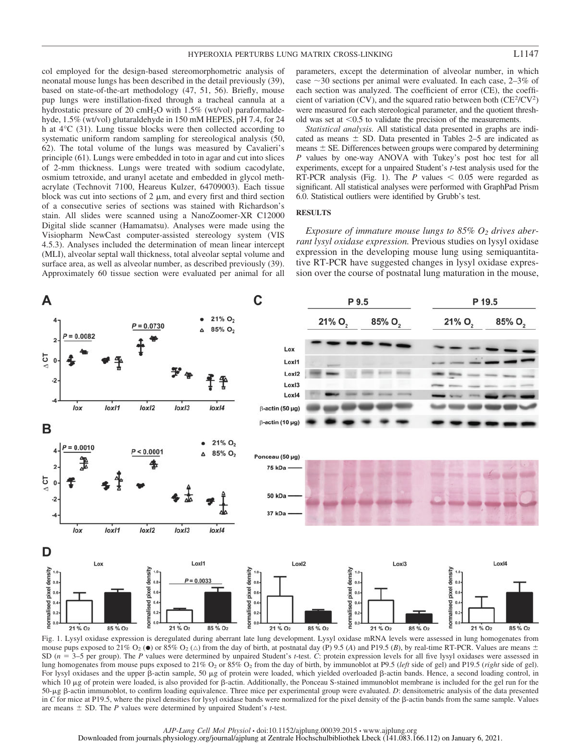### HYPEROXIA PERTURBS LUNG MATRIX CROSS-LINKING L1147

col employed for the design-based stereomorphometric analysis of neonatal mouse lungs has been described in the detail previously (39), based on state-of-the-art methodology (47, 51, 56). Briefly, mouse pup lungs were instillation-fixed through a tracheal cannula at a hydrostatic pressure of 20 cmH<sub>2</sub>O with 1.5% (wt/vol) paraformaldehyde, 1.5% (wt/vol) glutaraldehyde in 150 mM HEPES, pH 7.4, for 24 h at 4°C (31). Lung tissue blocks were then collected according to systematic uniform random sampling for stereological analysis (50, 62). The total volume of the lungs was measured by Cavalieri's principle (61). Lungs were embedded in toto in agar and cut into slices of 2-mm thickness. Lungs were treated with sodium cacodylate, osmium tetroxide, and uranyl acetate and embedded in glycol methacrylate (Technovit 7100, Heareus Kulzer, 64709003). Each tissue block was cut into sections of  $2 \mu m$ , and every first and third section of a consecutive series of sections was stained with Richardson's stain. All slides were scanned using a NanoZoomer-XR C12000 Digital slide scanner (Hamamatsu). Analyses were made using the Visiopharm NewCast computer-assisted stereology system (VIS 4.5.3). Analyses included the determination of mean linear intercept (MLI), alveolar septal wall thickness, total alveolar septal volume and surface area, as well as alveolar number, as described previously (39). Approximately 60 tissue section were evaluated per animal for all

parameters, except the determination of alveolar number, in which case  $\sim$  30 sections per animal were evaluated. In each case, 2–3% of each section was analyzed. The coefficient of error (CE), the coefficient of variation (CV), and the squared ratio between both ( $CE<sup>2</sup>/CV<sup>2</sup>$ ) were measured for each stereological parameter, and the quotient threshold was set at  $\leq 0.5$  to validate the precision of the measurements.

*Statistical analysis.* All statistical data presented in graphs are indicated as means  $\pm$  SD. Data presented in Tables 2–5 are indicated as means  $\pm$  SE. Differences between groups were compared by determining *P* values by one-way ANOVA with Tukey's post hoc test for all experiments, except for a unpaired Student's *t*-test analysis used for the RT-PCR analysis (Fig. 1). The  $P$  values  $\leq 0.05$  were regarded as significant. All statistical analyses were performed with GraphPad Prism 6.0. Statistical outliers were identified by Grubb's test.

## **RESULTS**

*Exposure of immature mouse lungs to 85% O2 drives aberrant lysyl oxidase expression.* Previous studies on lysyl oxidase expression in the developing mouse lung using semiquantitative RT-PCR have suggested changes in lysyl oxidase expression over the course of postnatal lung maturation in the mouse,



Fig. 1. Lysyl oxidase expression is deregulated during aberrant late lung development. Lysyl oxidase mRNA levels were assessed in lung homogenates from mouse pups exposed to 21% O<sub>2</sub> ( $\bullet$ ) or 85% O<sub>2</sub> ( $\triangle$ ) from the day of birth, at postnatal day (P) 9.5 (*A*) and P19.5 (*B*), by real-time RT-PCR. Values are means  $\pm$ SD  $(n = 3-5$  per group). The *P* values were determined by unpaired Student's *t*-test. *C*: protein expression levels for all five lysyl oxidases were assessed in lung homogenates from mouse pups exposed to 21% O2 or 85% O2 from the day of birth, by immunoblot at P9.5 (*left* side of gel) and P19.5 (*right* side of gel). For lysyl oxidases and the upper  $\beta$ -actin sample, 50 µg of protein were loaded, which yielded overloaded  $\beta$ -actin bands. Hence, a second loading control, in which 10  $\mu$ g of protein were loaded, is also provided for  $\beta$ -actin. Additionally, the Ponceau S-stained immunoblot membrane is included for the gel run for the 50-µg  $\beta$ -actin immunoblot, to confirm loading equivalence. Three mice per experimental group were evaluated. *D*: densitometric analysis of the data presented in  $C$  for mice at P19.5, where the pixel densities for lysyl oxidase bands were normalized for the pixel density of the  $\beta$ -actin bands from the same sample. Values are means  $\pm$  SD. The *P* values were determined by unpaired Student's *t*-test.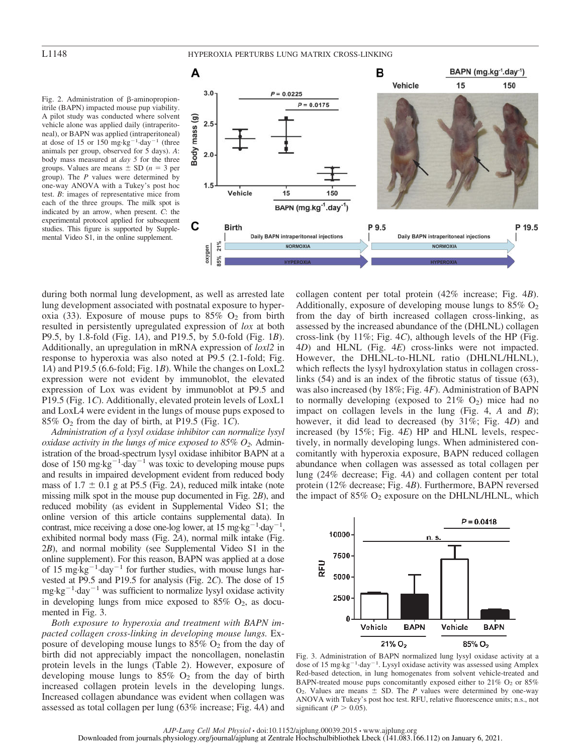Fig. 2. Administration of  $\beta$ -aminopropionitrile (BAPN) impacted mouse pup viability. A pilot study was conducted where solvent vehicle alone was applied daily (intraperitoneal), or BAPN was applied (intraperitoneal) at dose of 15 or 150 mg·kg<sup>-1</sup>·day<sup>-1</sup> (three animals per group, observed for 5 days). *A*: body mass measured at *day 5* for the three groups. Values are means  $\pm$  SD ( $n = 3$  per group). The *P* values were determined by one-way ANOVA with a Tukey's post hoc test. *B*: images of representative mice from each of the three groups. The milk spot is indicated by an arrow, when present. *C*: the experimental protocol applied for subsequent studies. This figure is supported by Supplemental Video S1, in the online supplement.



during both normal lung development, as well as arrested late lung development associated with postnatal exposure to hyperoxia (33). Exposure of mouse pups to  $85\%$  O<sub>2</sub> from birth resulted in persistently upregulated expression of *lox* at both P9.5, by 1.8-fold (Fig. 1*A*), and P19.5, by 5.0-fold (Fig. 1*B*). Additionally, an upregulation in mRNA expression of *loxl2* in response to hyperoxia was also noted at P9.5 (2.1-fold; Fig. 1*A*) and P19.5 (6.6-fold; Fig. 1*B*). While the changes on LoxL2 expression were not evident by immunoblot, the elevated expression of Lox was evident by immunoblot at P9.5 and P19.5 (Fig. 1*C*). Additionally, elevated protein levels of LoxL1 and LoxL4 were evident in the lungs of mouse pups exposed to 85% O<sup>2</sup> from the day of birth, at P19.5 (Fig. 1*C*).

*Administration of a lysyl oxidase inhibitor can normalize lysyl oxidase activity in the lungs of mice exposed to 85% O2.* Administration of the broad-spectrum lysyl oxidase inhibitor BAPN at a dose of 150 mg·kg<sup>-1</sup>·day<sup>-1</sup> was toxic to developing mouse pups and results in impaired development evident from reduced body mass of  $1.7 \pm 0.1$  g at P5.5 (Fig. 2A), reduced milk intake (note missing milk spot in the mouse pup documented in Fig. 2*B*), and reduced mobility (as evident in Supplemental Video S1; the online version of this article contains supplemental data). In contrast, mice receiving a dose one-log lower, at 15 mg·kg<sup>-1</sup>·day<sup>-1</sup>, exhibited normal body mass (Fig. 2*A*), normal milk intake (Fig. 2*B*), and normal mobility (see Supplemental Video S1 in the online supplement). For this reason, BAPN was applied at a dose of 15 mg·kg<sup>-1</sup>·day<sup>-1</sup> for further studies, with mouse lungs harvested at P9.5 and P19.5 for analysis (Fig. 2*C*). The dose of 15  $mg \cdot kg^{-1} \cdot day^{-1}$  was sufficient to normalize lysyl oxidase activity in developing lungs from mice exposed to  $85\%$  O<sub>2</sub>, as documented in Fig. 3.

*Both exposure to hyperoxia and treatment with BAPN impacted collagen cross-linking in developing mouse lungs.* Exposure of developing mouse lungs to  $85\%$  O<sub>2</sub> from the day of birth did not appreciably impact the noncollagen, nonelastin protein levels in the lungs (Table 2). However, exposure of developing mouse lungs to  $85\%$  O<sub>2</sub> from the day of birth increased collagen protein levels in the developing lungs. Increased collagen abundance was evident when collagen was assessed as total collagen per lung (63% increase; Fig. 4*A*) and collagen content per total protein (42% increase; Fig. 4*B*). Additionally, exposure of developing mouse lungs to  $85\%$  O<sub>2</sub> from the day of birth increased collagen cross-linking, as assessed by the increased abundance of the (DHLNL) collagen cross-link (by 11%; Fig. 4*C*), although levels of the HP (Fig. 4*D*) and HLNL (Fig. 4*E*) cross-links were not impacted. However, the DHLNL-to-HLNL ratio (DHLNL/HLNL), which reflects the lysyl hydroxylation status in collagen crosslinks (54) and is an index of the fibrotic status of tissue (63), was also increased (by 18%; Fig. 4*F*). Administration of BAPN to normally developing (exposed to  $21\%$  O<sub>2</sub>) mice had no impact on collagen levels in the lung (Fig. 4, *A* and *B*); however, it did lead to decreased (by 31%; Fig. 4*D*) and increased (by 15%; Fig. 4*E*) HP and HLNL levels, respectively, in normally developing lungs. When administered concomitantly with hyperoxia exposure, BAPN reduced collagen abundance when collagen was assessed as total collagen per lung (24% decrease; Fig. 4*A*) and collagen content per total protein (12% decrease; Fig. 4*B*). Furthermore, BAPN reversed the impact of  $85\%$  O<sub>2</sub> exposure on the DHLNL/HLNL, which



Fig. 3. Administration of BAPN normalized lung lysyl oxidase activity at a dose of 15 mg·kg<sup>-1</sup>·day<sup>-1</sup>. Lysyl oxidase activity was assessed using Amplex Red-based detection, in lung homogenates from solvent vehicle-treated and BAPN-treated mouse pups concomitantly exposed either to  $21\%$  O<sub>2</sub> or  $85\%$  $O_2$ . Values are means  $\pm$  SD. The *P* values were determined by one-way ANOVA with Tukey's post hoc test. RFU, relative fluorescence units; n.s., not significant ( $P > 0.05$ ).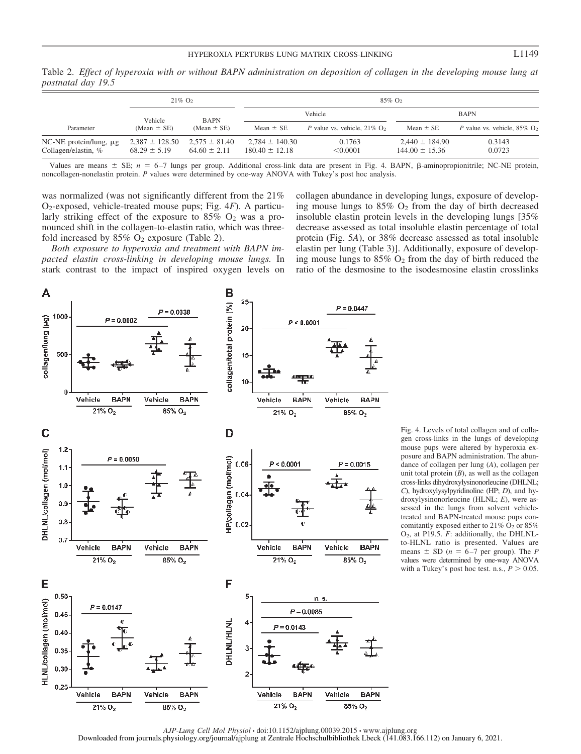|                                                    | $21\%$ O <sub>2</sub>                  |                                       | $85\%$ O <sub>2</sub>                    |                                            |                                          |                                            |  |
|----------------------------------------------------|----------------------------------------|---------------------------------------|------------------------------------------|--------------------------------------------|------------------------------------------|--------------------------------------------|--|
|                                                    | Vehicle                                | <b>BAPN</b><br>$(Mean \pm SE)$        |                                          | Vehicle                                    | <b>BAPN</b>                              |                                            |  |
| Parameter                                          | $(Mean \pm SE)$                        |                                       | Mean $\pm$ SE                            | P value vs. vehicle, $21\%$ O <sub>2</sub> | Mean $\pm$ SE                            | P value vs. vehicle, $85\%$ O <sub>2</sub> |  |
| NC-NE protein/lung, $\mu$ g<br>Collagen/elastin, % | $2,387 \pm 128.50$<br>$68.29 \pm 5.19$ | $2.575 \pm 81.40$<br>$64.60 \pm 2.11$ | $2.784 \pm 140.30$<br>$180.40 \pm 12.18$ | 0.1763<br>< 0.0001                         | $2.440 \pm 184.90$<br>$144.00 \pm 15.36$ | 0.3143<br>0.0723                           |  |

Table 2. *Effect of hyperoxia with or without BAPN administration on deposition of collagen in the developing mouse lung at postnatal day 19.5*

Values are means  $\pm$  SE;  $n = 6$ -7 lungs per group. Additional cross-link data are present in Fig. 4. BAPN,  $\beta$ -aminopropionitrile; NC-NE protein, noncollagen-nonelastin protein. *P* values were determined by one-way ANOVA with Tukey's post hoc analysis.

was normalized (was not significantly different from the 21%) O2-exposed, vehicle-treated mouse pups; Fig. 4*F*). A particularly striking effect of the exposure to  $85\%$  O<sub>2</sub> was a pronounced shift in the collagen-to-elastin ratio, which was threefold increased by  $85\%$  O<sub>2</sub> exposure (Table 2).

*Both exposure to hyperoxia and treatment with BAPN impacted elastin cross-linking in developing mouse lungs.* In stark contrast to the impact of inspired oxygen levels on

collagen abundance in developing lungs, exposure of developing mouse lungs to  $85\%$  O<sub>2</sub> from the day of birth decreased insoluble elastin protein levels in the developing lungs [35% decrease assessed as total insoluble elastin percentage of total protein (Fig. 5*A*), or 38% decrease assessed as total insoluble elastin per lung (Table 3)]. Additionally, exposure of developing mouse lungs to  $85\%$  O<sub>2</sub> from the day of birth reduced the ratio of the desmosine to the isodesmosine elastin crosslinks



Fig. 4. Levels of total collagen and of collagen cross-links in the lungs of developing mouse pups were altered by hyperoxia exposure and BAPN administration. The abundance of collagen per lung (*A*), collagen per unit total protein  $(B)$ , as well as the collagen cross-links dihydroxylysinonorleucine (DHLNL; *C*), hydroxylysylpyridinoline (HP; *D*), and hydroxylysinonorleucine (HLNL; *E*), were assessed in the lungs from solvent vehicletreated and BAPN-treated mouse pups concomitantly exposed either to  $21\%$  O<sub>2</sub> or  $85\%$ O2, at P19.5. *F*: additionally, the DHLNLto-HLNL ratio is presented. Values are means  $\pm$  SD ( $n = 6-7$  per group). The *P* values were determined by one-way ANOVA with a Tukey's post hoc test. n.s.,  $P > 0.05$ .

*AJP-Lung Cell Mol Physiol* • doi:10.1152/ajplung.00039.2015 • www.ajplung.org Downloaded from journals.physiology.org/journal/ajplung at Zentrale Hochschulbibliothek Lbeck (141.083.166.112) on January 6, 2021.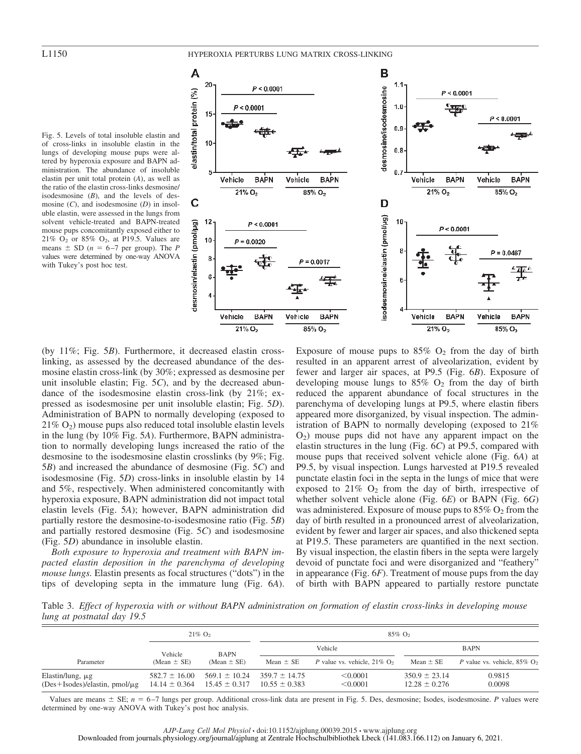

Fig. 5. Levels of total insoluble elastin and of cross-links in insoluble elastin in the lungs of developing mouse pups were altered by hyperoxia exposure and BAPN administration. The abundance of insoluble elastin per unit total protein (*A*), as well as the ratio of the elastin cross-links desmosine/ isodesmosine (*B*), and the levels of desmosine (*C*), and isodesmosine (*D*) in insoluble elastin, were assessed in the lungs from solvent vehicle-treated and BAPN-treated mouse pups concomitantly exposed either to 21% O2 or 85% O2, at P19.5. Values are means  $\pm$  SD ( $n = 6-7$  per group). The *P* values were determined by one-way ANOVA with Tukey's post hoc test.

(by 11%; Fig. 5*B*). Furthermore, it decreased elastin crosslinking, as assessed by the decreased abundance of the desmosine elastin cross-link (by 30%; expressed as desmosine per unit insoluble elastin; Fig. 5*C*), and by the decreased abundance of the isodesmosine elastin cross-link (by 21%; expressed as isodesmosine per unit insoluble elastin; Fig. 5*D*). Administration of BAPN to normally developing (exposed to  $21\%$  O<sub>2</sub>) mouse pups also reduced total insoluble elastin levels in the lung (by 10% Fig. 5*A*). Furthermore, BAPN administration to normally developing lungs increased the ratio of the desmosine to the isodesmosine elastin crosslinks (by 9%; Fig. 5*B*) and increased the abundance of desmosine (Fig. 5*C*) and isodesmosine (Fig. 5*D*) cross-links in insoluble elastin by 14 and 5%, respectively. When administered concomitantly with hyperoxia exposure, BAPN administration did not impact total elastin levels (Fig. 5*A*); however, BAPN administration did partially restore the desmosine-to-isodesmosine ratio (Fig. 5*B*) and partially restored desmosine (Fig. 5*C*) and isodesmosine (Fig. 5*D*) abundance in insoluble elastin.

*Both exposure to hyperoxia and treatment with BAPN impacted elastin deposition in the parenchyma of developing mouse lungs.* Elastin presents as focal structures ("dots") in the tips of developing septa in the immature lung (Fig. 6*A*).

Exposure of mouse pups to  $85\%$  O<sub>2</sub> from the day of birth resulted in an apparent arrest of alveolarization, evident by fewer and larger air spaces, at P9.5 (Fig. 6*B*). Exposure of developing mouse lungs to  $85\%$  O<sub>2</sub> from the day of birth reduced the apparent abundance of focal structures in the parenchyma of developing lungs at P9.5, where elastin fibers appeared more disorganized, by visual inspection. The administration of BAPN to normally developing (exposed to 21%  $O<sub>2</sub>$ ) mouse pups did not have any apparent impact on the elastin structures in the lung (Fig. 6*C*) at P9.5, compared with mouse pups that received solvent vehicle alone (Fig. 6*A*) at P9.5, by visual inspection. Lungs harvested at P19.5 revealed punctate elastin foci in the septa in the lungs of mice that were exposed to  $21\%$  O<sub>2</sub> from the day of birth, irrespective of whether solvent vehicle alone (Fig. 6*E*) or BAPN (Fig. 6*G*) was administered. Exposure of mouse pups to  $85\%$  O<sub>2</sub> from the day of birth resulted in a pronounced arrest of alveolarization, evident by fewer and larger air spaces, and also thickened septa at P19.5. These parameters are quantified in the next section. By visual inspection, the elastin fibers in the septa were largely devoid of punctate foci and were disorganized and "feathery" in appearance (Fig. 6*F*). Treatment of mouse pups from the day of birth with BAPN appeared to partially restore punctate

Table 3. *Effect of hyperoxia with or without BAPN administration on formation of elastin cross-links in developing mouse lung at postnatal day 19.5*

|                                                   |                                        | $21\%$ O <sub>2</sub>                  | $85\%$ O <sub>2</sub>                  |                                                   |                                        |                                            |  |
|---------------------------------------------------|----------------------------------------|----------------------------------------|----------------------------------------|---------------------------------------------------|----------------------------------------|--------------------------------------------|--|
|                                                   | Vehicle                                | <b>BAPN</b>                            |                                        | Vehicle                                           | <b>BAPN</b>                            |                                            |  |
| Parameter                                         | $(Mean \pm SE)$                        | $(Mean \pm SE)$                        | Mean $\pm$ SE                          | <i>P</i> value vs. vehicle, $21\%$ O <sub>2</sub> | Mean $\pm$ SE                          | P value vs. vehicle, $85\%$ O <sub>2</sub> |  |
| Elastin/lung, $\mu$ g<br>$(Des + Isodes)/elastic$ | $582.7 \pm 16.00$<br>$14.14 \pm 0.364$ | $569.1 \pm 10.24$<br>$15.45 \pm 0.317$ | $359.7 \pm 14.75$<br>$10.55 \pm 0.383$ | < 0.0001<br>< 0.0001                              | $350.9 \pm 23.14$<br>$12.28 \pm 0.276$ | 0.9815<br>0.0098                           |  |

Values are means  $\pm$  SE;  $n = 6$ –7 lungs per group. Additional cross-link data are present in Fig. 5. Des, desmosine; Isodes, isodesmosine. *P* values were determined by one-way ANOVA with Tukey's post hoc analysis.

*AJP-Lung Cell Mol Physiol* • doi:10.1152/ajplung.00039.2015 • www.ajplung.org Downloaded from journals.physiology.org/journal/ajplung at Zentrale Hochschulbibliothek Lbeck (141.083.166.112) on January 6, 2021.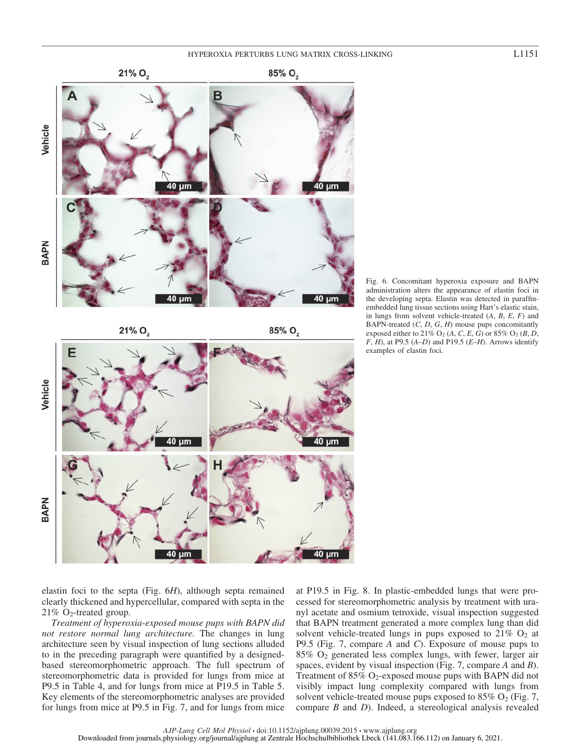# HYPEROXIA PERTURBS LUNG MATRIX CROSS-LINKING L1151





elastin foci to the septa (Fig. 6*H*), although septa remained clearly thickened and hypercellular, compared with septa in the 21% O2-treated group.

**BAPN** 

*Treatment of hyperoxia-exposed mouse pups with BAPN did not restore normal lung architecture.* The changes in lung architecture seen by visual inspection of lung sections alluded to in the preceding paragraph were quantified by a designedbased stereomorphometric approach. The full spectrum of stereomorphometric data is provided for lungs from mice at P9.5 in Table 4, and for lungs from mice at P19.5 in Table 5. Key elements of the stereomorphometric analyses are provided for lungs from mice at P9.5 in Fig. 7, and for lungs from mice at P19.5 in Fig. 8. In plastic-embedded lungs that were processed for stereomorphometric analysis by treatment with uranyl acetate and osmium tetroxide, visual inspection suggested that BAPN treatment generated a more complex lung than did solvent vehicle-treated lungs in pups exposed to  $21\%$  O<sub>2</sub> at P9.5 (Fig. 7, compare *A* and *C*). Exposure of mouse pups to  $85\%$  O<sub>2</sub> generated less complex lungs, with fewer, larger air spaces, evident by visual inspection (Fig. 7, compare *A* and *B*). Treatment of 85%  $O_2$ -exposed mouse pups with BAPN did not visibly impact lung complexity compared with lungs from solvent vehicle-treated mouse pups exposed to  $85\%$  O<sub>2</sub> (Fig. 7, compare *B* and *D*). Indeed, a stereological analysis revealed

40 µm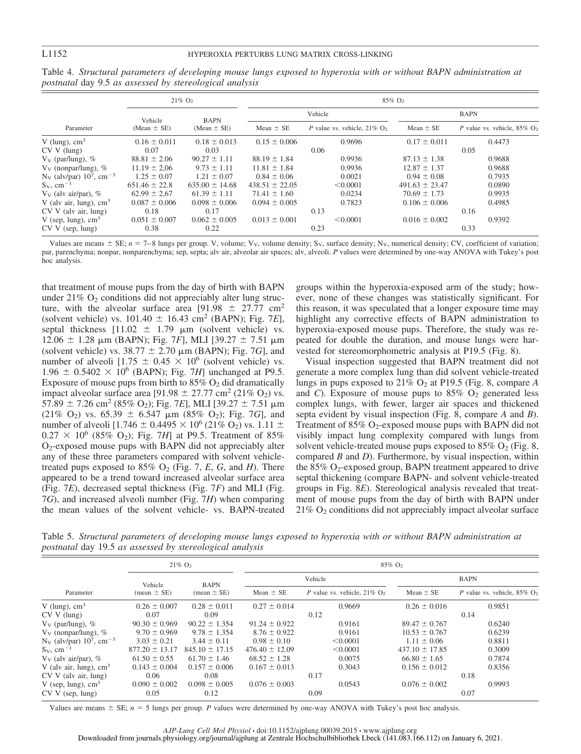# L1152 HYPEROXIA PERTURBS LUNG MATRIX CROSS-LINKING

|                                                    |                            | $21\%$ O <sub>2</sub>          | $85\%$ O <sub>2</sub> |                                            |                    |                                            |  |  |
|----------------------------------------------------|----------------------------|--------------------------------|-----------------------|--------------------------------------------|--------------------|--------------------------------------------|--|--|
|                                                    | Vehicle<br>(Mean $\pm$ SE) | <b>BAPN</b><br>(Mean $\pm$ SE) |                       | Vehicle                                    | <b>BAPN</b>        |                                            |  |  |
| Parameter                                          |                            |                                | Mean $\pm$ SE         | P value vs. vehicle, $21\%$ O <sub>2</sub> | Mean $\pm$ SE      | P value vs. vehicle, $85\%$ O <sub>2</sub> |  |  |
| V (lung), $cm3$                                    | $0.16 \pm 0.011$           | $0.18 \pm 0.013$               | $0.15 \pm 0.006$      | 0.9696                                     | $0.17 \pm 0.011$   | 0.4473                                     |  |  |
| $CVV$ (lung)                                       | 0.07                       | 0.03                           |                       | 0.06                                       |                    | 0.05                                       |  |  |
| $V_V$ (par/lung), %                                | $88.81 \pm 2.06$           | $90.27 \pm 1.11$               | $88.19 \pm 1.84$      | 0.9936                                     | $87.13 \pm 1.38$   | 0.9688                                     |  |  |
| $V_V$ (nonpar/lung), %                             | $11.19 \pm 2.06$           | $9.73 \pm 1.11$                | $11.81 \pm 1.84$      | 0.9936                                     | $12.87 \pm 1.37$   | 0.9688                                     |  |  |
| $N_V$ (alv/par) 10 <sup>7</sup> , cm <sup>-3</sup> | $1.25 \pm 0.07$            | $1.21 \pm 0.07$                | $0.84 \pm 0.06$       | 0.0021                                     | $0.94 \pm 0.08$    | 0.7935                                     |  |  |
| $S_v$ , cm <sup>-1</sup>                           | $651.46 \pm 22.8$          | $635.00 \pm 14.68$             | $438.51 \pm 22.05$    | < 0.0001                                   | $491.63 \pm 23.47$ | 0.0890                                     |  |  |
| $V_V$ (alv air/par), %                             | $62.99 \pm 2.67$           | $61.39 \pm 1.11$               | $71.41 \pm 1.60$      | 0.0234                                     | $70.69 \pm 1.73$   | 0.9935                                     |  |  |
| V (alv air, lung), $cm3$                           | $0.087 \pm 0.006$          | $0.098 \pm 0.006$              | $0.094 \pm 0.005$     | 0.7823                                     | $0.106 \pm 0.006$  | 0.4985                                     |  |  |
| $CVV$ (alv air, lung)                              | 0.18                       | 0.17                           |                       | 0.13                                       |                    | 0.16                                       |  |  |
| V (sep, lung), $cm3$                               | $0.051 \pm 0.007$          | $0.062 \pm 0.005$              | $0.013 \pm 0.001$     | < 0.0001                                   | $0.016 \pm 0.002$  | 0.9392                                     |  |  |
| $CV V$ (sep. lung)                                 | 0.38                       | 0.22                           |                       | 0.23                                       |                    | 0.33                                       |  |  |

Table 4. *Structural parameters of developing mouse lungs exposed to hyperoxia with or without BAPN administration at postnatal* day 9.5 *as assessed by stereological analysis*

Values are means  $\pm$  SE;  $n = 7-8$  lungs per group. V, volume; V<sub>V</sub>, volume density; S<sub>V</sub>, surface density; N<sub>V</sub>, numerical density; CV, coefficient of variation; par, parenchyma; nonpar, nonparenchyma; sep, septa; alv air, alveolar air spaces; alv, alveoli. *P* values were determined by one-way ANOVA with Tukey's post hoc analysis.

that treatment of mouse pups from the day of birth with BAPN under  $21\%$  O<sub>2</sub> conditions did not appreciably alter lung structure, with the alveolar surface area [91.98  $\pm$  27.77 cm<sup>2</sup> (solvent vehicle) vs.  $101.40 \pm 16.43 \text{ cm}^2$  (BAPN); Fig. 7*E*], septal thickness  $[11.02 \pm 1.79 \mu m$  (solvent vehicle) vs.  $12.06 \pm 1.28$   $\mu$ m (BAPN); Fig. 7*F*], MLI [39.27  $\pm$  7.51  $\mu$ m (solvent vehicle) vs.  $38.77 \pm 2.70 \mu m$  (BAPN); Fig. 7*G*], and number of alveoli  $[1.75 \pm 0.45 \times 10^6$  (solvent vehicle) vs.  $1.96 \pm 0.5402 \times 10^6$  (BAPN); Fig. 7*H*] unchanged at P9.5. Exposure of mouse pups from birth to  $85\%$  O<sub>2</sub> did dramatically impact alveolar surface area [91.98  $\pm$  27.77 cm<sup>2</sup> (21% O<sub>2</sub>) vs.  $57.89 \pm 7.26$  cm<sup>2</sup> (85% O<sub>2</sub>); Fig. 7*E*], MLI [39.27  $\pm$  7.51 µm (21% O<sub>2</sub>) vs. 65.39  $\pm$  6.547  $\mu$ m (85% O<sub>2</sub>); Fig. 7*G*], and number of alveoli [1.746  $\pm$  0.4495  $\times$  10<sup>6</sup> (21% O<sub>2</sub>) vs. 1.11  $\pm$  $0.27 \times 10^6$  (85% O<sub>2</sub>); Fig. 7H] at P9.5. Treatment of 85% O2-exposed mouse pups with BAPN did not appreciably alter any of these three parameters compared with solvent vehicletreated pups exposed to  $85\%$  O<sub>2</sub> (Fig. 7, *E*, *G*, and *H*). There appeared to be a trend toward increased alveolar surface area (Fig. 7*E*), decreased septal thickness (Fig. 7*F*) and MLI (Fig. 7*G*), and increased alveoli number (Fig. 7*H*) when comparing the mean values of the solvent vehicle- vs. BAPN-treated groups within the hyperoxia-exposed arm of the study; however, none of these changes was statistically significant. For this reason, it was speculated that a longer exposure time may highlight any corrective effects of BAPN administration to hyperoxia-exposed mouse pups. Therefore, the study was repeated for double the duration, and mouse lungs were harvested for stereomorphometric analysis at P19.5 (Fig. 8).

Visual inspection suggested that BAPN treatment did not generate a more complex lung than did solvent vehicle-treated lungs in pups exposed to 21% O<sup>2</sup> at P19.5 (Fig. 8, compare *A* and *C*). Exposure of mouse pups to  $85\%$  O<sub>2</sub> generated less complex lungs, with fewer, larger air spaces and thickened septa evident by visual inspection (Fig. 8, compare *A* and *B*). Treatment of 85%  $O_2$ -exposed mouse pups with BAPN did not visibly impact lung complexity compared with lungs from solvent vehicle-treated mouse pups exposed to  $85\%$  O<sub>2</sub> (Fig. 8, compared *B* and *D*). Furthermore, by visual inspection, within the  $85\%$  O<sub>2</sub>-exposed group, BAPN treatment appeared to drive septal thickening (compare BAPN- and solvent vehicle-treated groups in Fig. 8*E*). Stereological analysis revealed that treatment of mouse pups from the day of birth with BAPN under 21% O2 conditions did not appreciably impact alveolar surface

Table 5. *Structural parameters of developing mouse lungs exposed to hyperoxia with or without BAPN administration at postnatal* day 19.5 *as assessed by stereological analysis*

|                                           |                    | $21\%$ O <sub>2</sub>        | 85% O <sub>2</sub> |                                            |                    |                                            |  |  |
|-------------------------------------------|--------------------|------------------------------|--------------------|--------------------------------------------|--------------------|--------------------------------------------|--|--|
|                                           | Vehicle            | <b>BAPN</b><br>$mean \pm SE$ |                    | Vehicle                                    | <b>BAPN</b>        |                                            |  |  |
| Parameter                                 | $mean \pm SE$      |                              | Mean $\pm$ SE      | P value vs. vehicle, $21\%$ O <sub>2</sub> | Mean $\pm$ SE      | P value vs. vehicle, $85\%$ O <sub>2</sub> |  |  |
| V (lung), $cm3$                           | $0.26 \pm 0.007$   | $0.28 \pm 0.011$             | $0.27 \pm 0.014$   | 0.9669                                     | $0.26 \pm 0.016$   | 0.9851                                     |  |  |
| $CVV$ (lung)                              | 0.07               | 0.09                         |                    | 0.12                                       |                    | 0.14                                       |  |  |
| $V_V$ (par/lung), %                       | $90.30 \pm 0.969$  | $90.22 \pm 1.354$            | $91.24 \pm 0.922$  | 0.9161                                     | $89.47 \pm 0.767$  | 0.6240                                     |  |  |
| $V_V$ (nonpar/lung), %                    | $9.70 \pm 0.969$   | $9.78 \pm 1.354$             | $8.76 \pm 0.922$   | 0.9161                                     | $10.53 \pm 0.767$  | 0.6239                                     |  |  |
| $N_V$ (alv/par) $10^7$ , cm <sup>-3</sup> | $3.03 \pm 0.21$    | $3.44 \pm 0.11$              | $0.98 \pm 0.10$    | < 0.0001                                   | $1.11 \pm 0.06$    | 0.8811                                     |  |  |
| $S_V$ , cm <sup>-1</sup>                  | $877.20 \pm 13.17$ | $845.10 \pm 17.15$           | $476.40 \pm 12.09$ | < 0.0001                                   | $437.10 \pm 17.85$ | 0.3009                                     |  |  |
| $V_V$ (alv air/par), %                    | $61.50 \pm 0.55$   | $61.70 \pm 1.46$             | $68.52 \pm 1.28$   | 0.0075                                     | $66.80 \pm 1.65$   | 0.7874                                     |  |  |
| V (alv air, lung), $cm3$                  | $0.143 \pm 0.004$  | $0.157 \pm 0.006$            | $0.167 \pm 0.013$  | 0.3043                                     | $0.156 \pm 0.012$  | 0.8356                                     |  |  |
| $CVV$ (alv air, lung)                     | 0.06               | 0.08                         |                    | 0.17                                       |                    | 0.18                                       |  |  |
| V (sep, lung), $cm3$                      | $0.090 \pm 0.002$  | $0.098 \pm 0.005$            | $0.076 \pm 0.003$  | 0.0543                                     | $0.076 \pm 0.002$  | 0.9993                                     |  |  |
| $CVV$ (sep, lung)                         | 0.05               | 0.12                         |                    | 0.09                                       |                    | 0.07                                       |  |  |

Values are means  $\pm$  SE;  $n = 5$  lungs per group. *P* values were determined by one-way ANOVA with Tukey's post hoc analysis.

*AJP-Lung Cell Mol Physiol* • doi:10.1152/ajplung.00039.2015 • www.ajplung.org Downloaded from journals.physiology.org/journal/ajplung at Zentrale Hochschulbibliothek Lbeck (141.083.166.112) on January 6, 2021.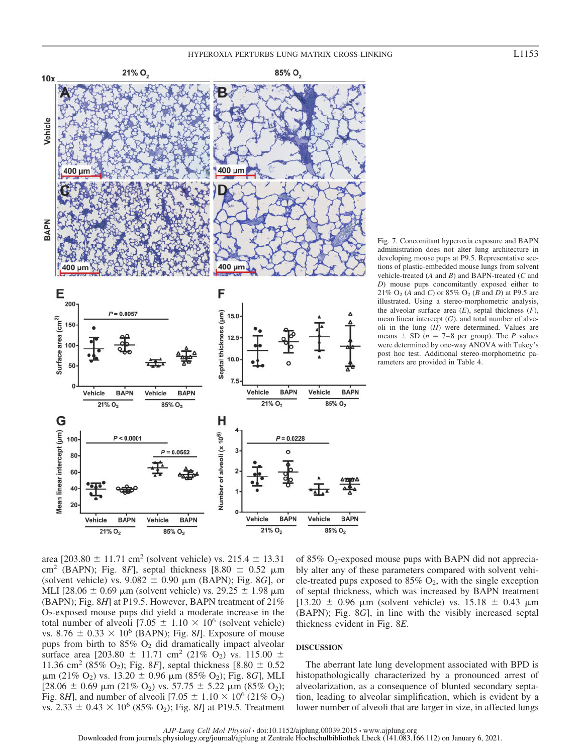

Fig. 7. Concomitant hyperoxia exposure and BAPN administration does not alter lung architecture in developing mouse pups at P9.5. Representative sections of plastic-embedded mouse lungs from solvent vehicle-treated (*A* and *B*) and BAPN-treated (*C* and *D*) mouse pups concomitantly exposed either to 21% O2 (*A* and *C*) or 85% O2 (*B* and *D*) at P9.5 are illustrated. Using a stereo-morphometric analysis, the alveolar surface area (*E*), septal thickness (*F*), mean linear intercept (*G*), and total number of alveoli in the lung (*H*) were determined. Values are means  $\pm$  SD ( $n = 7-8$  per group). The *P* values were determined by one-way ANOVA with Tukey's post hoc test. Additional stereo-morphometric parameters are provided in Table 4.

area  $[203.80 \pm 11.71 \text{ cm}^2 \text{ (solvent vehicle) vs. } 215.4 \pm 13.31$ cm<sup>2</sup> (BAPN); Fig. 8*F*], septal thickness [8.80  $\pm$  0.52  $\mu$ m (solvent vehicle) vs.  $9.082 \pm 0.90$   $\mu$ m (BAPN); Fig. 8*G*], or MLI [28.06  $\pm$  0.69 µm (solvent vehicle) vs. 29.25  $\pm$  1.98 µm (BAPN); Fig. 8*H*] at P19.5. However, BAPN treatment of 21% O2-exposed mouse pups did yield a moderate increase in the total number of alveoli  $[7.05 \pm 1.10 \times 10^6$  (solvent vehicle) vs.  $8.76 \pm 0.33 \times 10^6$  (BAPN); Fig. 8*I*]. Exposure of mouse pups from birth to  $85\%$  O<sub>2</sub> did dramatically impact alveolar surface area  $[203.80 \pm 11.71 \text{ cm}^2 (21\% \text{ O}_2) \text{ vs. } 115.00 \pm 11.71 \text{ cm}^2 (21\% \text{ O}_2) \text{ vs. } 115.00 \pm 11.71 \text{ cm}^2 (21\% \text{ O}_2) \text{ vs. } 115.00 \pm 11.71 \text{ cm}^2 (21\% \text{ O}_2) \text{ vs. } 115.00 \pm 11.71 \text{ cm}^2 (21\% \text{ O}_2) \text{ vs. } 115.00$ 11.36 cm<sup>2</sup> (85% O<sub>2</sub>); Fig. 8*F*], septal thickness [8.80  $\pm$  0.52  $\mu$ m (21% O<sub>2</sub>) vs. 13.20  $\pm$  0.96  $\mu$ m (85% O<sub>2</sub>); Fig. 8*G*], MLI  $[28.06 \pm 0.69 \mu m (21\% O_2) \text{ vs. } 57.75 \pm 5.22 \mu m (85\% O_2);$ Fig. 8*H*], and number of alveoli  $[7.05 \pm 1.10 \times 10^6 (21\% O_2)]$ vs.  $2.33 \pm 0.43 \times 10^6$  (85% O<sub>2</sub>); Fig. 8*I*] at P19.5. Treatment

of 85%  $O_2$ -exposed mouse pups with BAPN did not appreciably alter any of these parameters compared with solvent vehicle-treated pups exposed to  $85\%$  O<sub>2</sub>, with the single exception of septal thickness, which was increased by BAPN treatment [13.20  $\pm$  0.96 µm (solvent vehicle) vs. 15.18  $\pm$  0.43 µm (BAPN); Fig. 8*G*], in line with the visibly increased septal thickness evident in Fig. 8*E*.

### **DISCUSSION**

The aberrant late lung development associated with BPD is histopathologically characterized by a pronounced arrest of alveolarization, as a consequence of blunted secondary septation, leading to alveolar simplification, which is evident by a lower number of alveoli that are larger in size, in affected lungs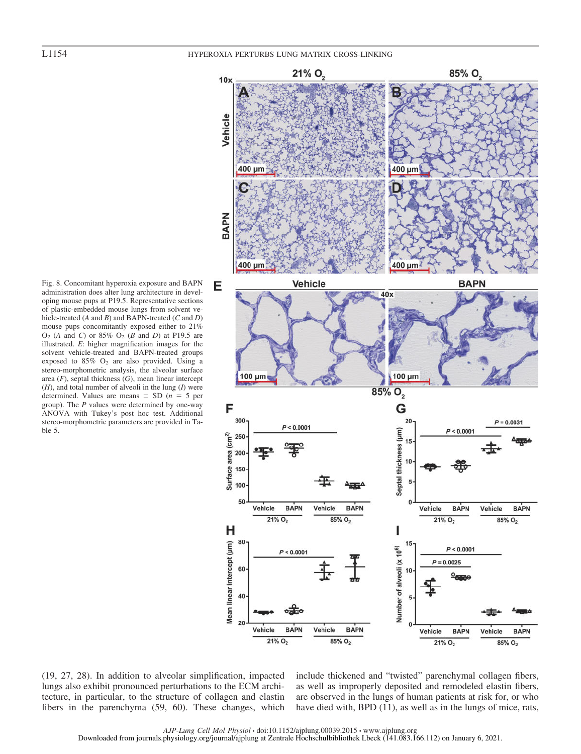

Fig. 8. Concomitant hyperoxia exposure and BAPN administration does alter lung architecture in developing mouse pups at P19.5. Representative sections of plastic-embedded mouse lungs from solvent vehicle-treated (*A* and *B*) and BAPN-treated (*C* and *D*) mouse pups concomitantly exposed either to 21%  $O<sub>2</sub>$  (*A* and *C*) or 85%  $O<sub>2</sub>$  (*B* and *D*) at P19.5 are illustrated. *E*: higher magnification images for the solvent vehicle-treated and BAPN-treated groups exposed to  $85\%$  O<sub>2</sub> are also provided. Using a stereo-morphometric analysis, the alveolar surface area (*F*), septal thickness (*G*), mean linear intercept (*H*), and total number of alveoli in the lung (*I*) were determined. Values are means  $\pm$  SD ( $n = 5$  per group). The *P* values were determined by one-way ANOVA with Tukey's post hoc test. Additional stereo-morphometric parameters are provided in Table 5.



include thickened and "twisted" parenchymal collagen fibers, as well as improperly deposited and remodeled elastin fibers, are observed in the lungs of human patients at risk for, or who have died with, BPD (11), as well as in the lungs of mice, rats,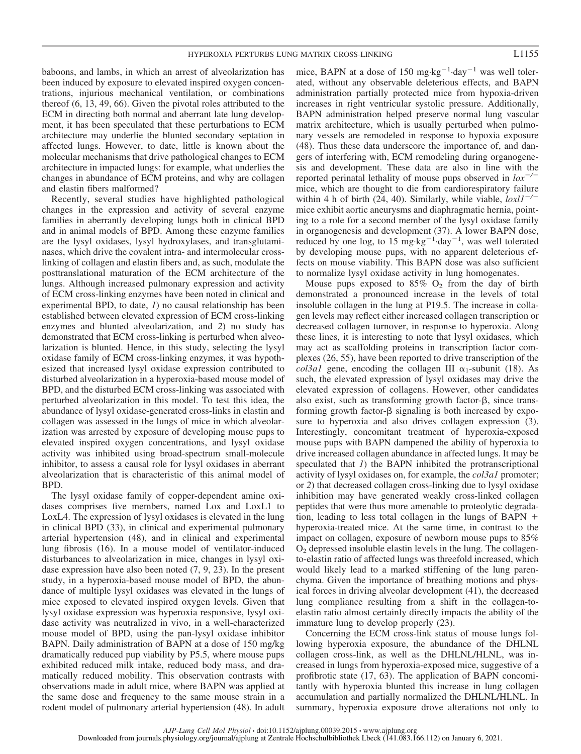baboons, and lambs, in which an arrest of alveolarization has been induced by exposure to elevated inspired oxygen concentrations, injurious mechanical ventilation, or combinations thereof (6, 13, 49, 66). Given the pivotal roles attributed to the ECM in directing both normal and aberrant late lung development, it has been speculated that these perturbations to ECM architecture may underlie the blunted secondary septation in affected lungs. However, to date, little is known about the molecular mechanisms that drive pathological changes to ECM architecture in impacted lungs: for example, what underlies the changes in abundance of ECM proteins, and why are collagen and elastin fibers malformed?

Recently, several studies have highlighted pathological changes in the expression and activity of several enzyme families in aberrantly developing lungs both in clinical BPD and in animal models of BPD. Among these enzyme families are the lysyl oxidases, lysyl hydroxylases, and transglutaminases, which drive the covalent intra- and intermolecular crosslinking of collagen and elastin fibers and, as such, modulate the posttranslational maturation of the ECM architecture of the lungs. Although increased pulmonary expression and activity of ECM cross-linking enzymes have been noted in clinical and experimental BPD, to date, *1*) no causal relationship has been established between elevated expression of ECM cross-linking enzymes and blunted alveolarization, and *2*) no study has demonstrated that ECM cross-linking is perturbed when alveolarization is blunted. Hence, in this study, selecting the lysyl oxidase family of ECM cross-linking enzymes, it was hypothesized that increased lysyl oxidase expression contributed to disturbed alveolarization in a hyperoxia-based mouse model of BPD, and the disturbed ECM cross-linking was associated with perturbed alveolarization in this model. To test this idea, the abundance of lysyl oxidase-generated cross-links in elastin and collagen was assessed in the lungs of mice in which alveolarization was arrested by exposure of developing mouse pups to elevated inspired oxygen concentrations, and lysyl oxidase activity was inhibited using broad-spectrum small-molecule inhibitor, to assess a causal role for lysyl oxidases in aberrant alveolarization that is characteristic of this animal model of BPD.

The lysyl oxidase family of copper-dependent amine oxidases comprises five members, named Lox and LoxL1 to LoxL4. The expression of lysyl oxidases is elevated in the lung in clinical BPD (33), in clinical and experimental pulmonary arterial hypertension (48), and in clinical and experimental lung fibrosis (16). In a mouse model of ventilator-induced disturbances to alveolarization in mice, changes in lysyl oxidase expression have also been noted (7, 9, 23). In the present study, in a hyperoxia-based mouse model of BPD, the abundance of multiple lysyl oxidases was elevated in the lungs of mice exposed to elevated inspired oxygen levels. Given that lysyl oxidase expression was hyperoxia responsive, lysyl oxidase activity was neutralized in vivo, in a well-characterized mouse model of BPD, using the pan-lysyl oxidase inhibitor BAPN. Daily administration of BAPN at a dose of 150 mg/kg dramatically reduced pup viability by P5.5, where mouse pups exhibited reduced milk intake, reduced body mass, and dramatically reduced mobility. This observation contrasts with observations made in adult mice, where BAPN was applied at the same dose and frequency to the same mouse strain in a rodent model of pulmonary arterial hypertension (48). In adult

mice, BAPN at a dose of 150 mg·kg<sup>-1</sup>·day<sup>-1</sup> was well tolerated, without any observable deleterious effects, and BAPN administration partially protected mice from hypoxia-driven increases in right ventricular systolic pressure. Additionally, BAPN administration helped preserve normal lung vascular matrix architecture, which is usually perturbed when pulmonary vessels are remodeled in response to hypoxia exposure (48). Thus these data underscore the importance of, and dangers of interfering with, ECM remodeling during organogenesis and development. These data are also in line with the reported perinatal lethality of mouse pups observed in *lox/* mice, which are thought to die from cardiorespiratory failure within 4 h of birth (24, 40). Similarly, while viable,  $\frac{log17}{7}$ mice exhibit aortic aneurysms and diaphragmatic hernia, pointing to a role for a second member of the lysyl oxidase family in organogenesis and development (37). A lower BAPN dose, reduced by one log, to 15 mg·kg<sup>-1</sup>·day<sup>-1</sup>, was well tolerated by developing mouse pups, with no apparent deleterious effects on mouse viability. This BAPN dose was also sufficient to normalize lysyl oxidase activity in lung homogenates.

Mouse pups exposed to  $85\%$  O<sub>2</sub> from the day of birth demonstrated a pronounced increase in the levels of total insoluble collagen in the lung at P19.5. The increase in collagen levels may reflect either increased collagen transcription or decreased collagen turnover, in response to hyperoxia. Along these lines, it is interesting to note that lysyl oxidases, which may act as scaffolding proteins in transcription factor complexes (26, 55), have been reported to drive transcription of the *col3a1* gene, encoding the collagen III  $\alpha_1$ -subunit (18). As such, the elevated expression of lysyl oxidases may drive the elevated expression of collagens. However, other candidates also exist, such as transforming growth factor- $\beta$ , since transforming growth factor- $\beta$  signaling is both increased by exposure to hyperoxia and also drives collagen expression (3). Interestingly, concomitant treatment of hyperoxia-exposed mouse pups with BAPN dampened the ability of hyperoxia to drive increased collagen abundance in affected lungs. It may be speculated that *1*) the BAPN inhibited the protranscriptional activity of lysyl oxidases on, for example, the *col3a1* promoter; or *2*) that decreased collagen cross-linking due to lysyl oxidase inhibition may have generated weakly cross-linked collagen peptides that were thus more amenable to proteolytic degradation, leading to less total collagen in the lungs of BAPN  $+$ hyperoxia-treated mice. At the same time, in contrast to the impact on collagen, exposure of newborn mouse pups to 85% O2 depressed insoluble elastin levels in the lung. The collagento-elastin ratio of affected lungs was threefold increased, which would likely lead to a marked stiffening of the lung parenchyma. Given the importance of breathing motions and physical forces in driving alveolar development (41), the decreased lung compliance resulting from a shift in the collagen-toelastin ratio almost certainly directly impacts the ability of the immature lung to develop properly (23).

Concerning the ECM cross-link status of mouse lungs following hyperoxia exposure, the abundance of the DHLNL collagen cross-link, as well as the DHLNL/HLNL, was increased in lungs from hyperoxia-exposed mice, suggestive of a profibrotic state (17, 63). The application of BAPN concomitantly with hyperoxia blunted this increase in lung collagen accumulation and partially normalized the DHLNL/HLNL. In summary, hyperoxia exposure drove alterations not only to

*AJP-Lung Cell Mol Physiol* • doi:10.1152/ajplung.00039.2015 • www.ajplung.org Downloaded from journals.physiology.org/journal/ajplung at Zentrale Hochschulbibliothek Lbeck (141.083.166.112) on January 6, 2021.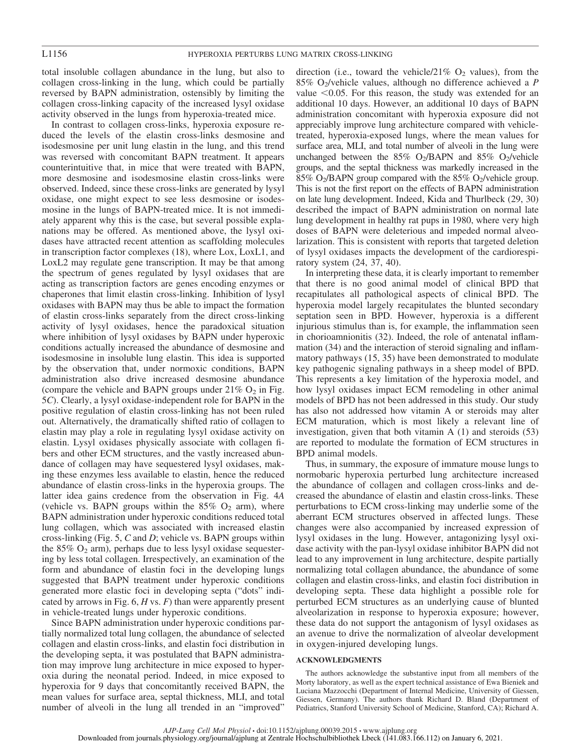total insoluble collagen abundance in the lung, but also to collagen cross-linking in the lung, which could be partially reversed by BAPN administration, ostensibly by limiting the collagen cross-linking capacity of the increased lysyl oxidase activity observed in the lungs from hyperoxia-treated mice.

In contrast to collagen cross-links, hyperoxia exposure reduced the levels of the elastin cross-links desmosine and isodesmosine per unit lung elastin in the lung, and this trend was reversed with concomitant BAPN treatment. It appears counterintuitive that, in mice that were treated with BAPN, more desmosine and isodesmosine elastin cross-links were observed. Indeed, since these cross-links are generated by lysyl oxidase, one might expect to see less desmosine or isodesmosine in the lungs of BAPN-treated mice. It is not immediately apparent why this is the case, but several possible explanations may be offered. As mentioned above, the lysyl oxidases have attracted recent attention as scaffolding molecules in transcription factor complexes (18), where Lox, LoxL1, and LoxL2 may regulate gene transcription. It may be that among the spectrum of genes regulated by lysyl oxidases that are acting as transcription factors are genes encoding enzymes or chaperones that limit elastin cross-linking. Inhibition of lysyl oxidases with BAPN may thus be able to impact the formation of elastin cross-links separately from the direct cross-linking activity of lysyl oxidases, hence the paradoxical situation where inhibition of lysyl oxidases by BAPN under hyperoxic conditions actually increased the abundance of desmosine and isodesmosine in insoluble lung elastin. This idea is supported by the observation that, under normoxic conditions, BAPN administration also drive increased desmosine abundance (compare the vehicle and BAPN groups under  $21\%$  O<sub>2</sub> in Fig. 5*C*). Clearly, a lysyl oxidase-independent role for BAPN in the positive regulation of elastin cross-linking has not been ruled out. Alternatively, the dramatically shifted ratio of collagen to elastin may play a role in regulating lysyl oxidase activity on elastin. Lysyl oxidases physically associate with collagen fibers and other ECM structures, and the vastly increased abundance of collagen may have sequestered lysyl oxidases, making these enzymes less available to elastin, hence the reduced abundance of elastin cross-links in the hyperoxia groups. The latter idea gains credence from the observation in Fig. 4*A* (vehicle vs. BAPN groups within the  $85\%$  O<sub>2</sub> arm), where BAPN administration under hyperoxic conditions reduced total lung collagen, which was associated with increased elastin cross-linking (Fig. 5, *C* and *D*; vehicle vs. BAPN groups within the  $85\%$  O<sub>2</sub> arm), perhaps due to less lysyl oxidase sequestering by less total collagen. Irrespectively, an examination of the form and abundance of elastin foci in the developing lungs suggested that BAPN treatment under hyperoxic conditions generated more elastic foci in developing septa ("dots" indicated by arrows in Fig. 6, *H* vs. *F*) than were apparently present in vehicle-treated lungs under hyperoxic conditions.

Since BAPN administration under hyperoxic conditions partially normalized total lung collagen, the abundance of selected collagen and elastin cross-links, and elastin foci distribution in the developing septa, it was postulated that BAPN administration may improve lung architecture in mice exposed to hyperoxia during the neonatal period. Indeed, in mice exposed to hyperoxia for 9 days that concomitantly received BAPN, the mean values for surface area, septal thickness, MLI, and total number of alveoli in the lung all trended in an "improved"

direction (i.e., toward the vehicle/21%  $O_2$  values), from the 85% O2/vehicle values, although no difference achieved a *P* value  $< 0.05$ . For this reason, the study was extended for an additional 10 days. However, an additional 10 days of BAPN administration concomitant with hyperoxia exposure did not appreciably improve lung architecture compared with vehicletreated, hyperoxia-exposed lungs, where the mean values for surface area, MLI, and total number of alveoli in the lung were unchanged between the  $85\%$  O<sub>2</sub>/BAPN and  $85\%$  O<sub>2</sub>/vehicle groups, and the septal thickness was markedly increased in the 85%  $O_2/BAPN$  group compared with the 85%  $O_2$ /vehicle group. This is not the first report on the effects of BAPN administration on late lung development. Indeed, Kida and Thurlbeck (29, 30) described the impact of BAPN administration on normal late lung development in healthy rat pups in 1980, where very high doses of BAPN were deleterious and impeded normal alveolarization. This is consistent with reports that targeted deletion of lysyl oxidases impacts the development of the cardiorespiratory system (24, 37, 40).

In interpreting these data, it is clearly important to remember that there is no good animal model of clinical BPD that recapitulates all pathological aspects of clinical BPD. The hyperoxia model largely recapitulates the blunted secondary septation seen in BPD. However, hyperoxia is a different injurious stimulus than is, for example, the inflammation seen in chorioamnionitis (32). Indeed, the role of antenatal inflammation (34) and the interaction of steroid signaling and inflammatory pathways (15, 35) have been demonstrated to modulate key pathogenic signaling pathways in a sheep model of BPD. This represents a key limitation of the hyperoxia model, and how lysyl oxidases impact ECM remodeling in other animal models of BPD has not been addressed in this study. Our study has also not addressed how vitamin A or steroids may alter ECM maturation, which is most likely a relevant line of investigation, given that both vitamin A (1) and steroids (53) are reported to modulate the formation of ECM structures in BPD animal models.

Thus, in summary, the exposure of immature mouse lungs to normobaric hyperoxia perturbed lung architecture increased the abundance of collagen and collagen cross-links and decreased the abundance of elastin and elastin cross-links. These perturbations to ECM cross-linking may underlie some of the aberrant ECM structures observed in affected lungs. These changes were also accompanied by increased expression of lysyl oxidases in the lung. However, antagonizing lysyl oxidase activity with the pan-lysyl oxidase inhibitor BAPN did not lead to any improvement in lung architecture, despite partially normalizing total collagen abundance, the abundance of some collagen and elastin cross-links, and elastin foci distribution in developing septa. These data highlight a possible role for perturbed ECM structures as an underlying cause of blunted alveolarization in response to hyperoxia exposure; however, these data do not support the antagonism of lysyl oxidases as an avenue to drive the normalization of alveolar development in oxygen-injured developing lungs.

#### **ACKNOWLEDGMENTS**

The authors acknowledge the substantive input from all members of the Morty laboratory, as well as the expert technical assistance of Ewa Bieniek and Luciana Mazzocchi (Department of Internal Medicine, University of Giessen, Giessen, Germany). The authors thank Richard D. Bland (Department of Pediatrics, Stanford University School of Medicine, Stanford, CA); Richard A.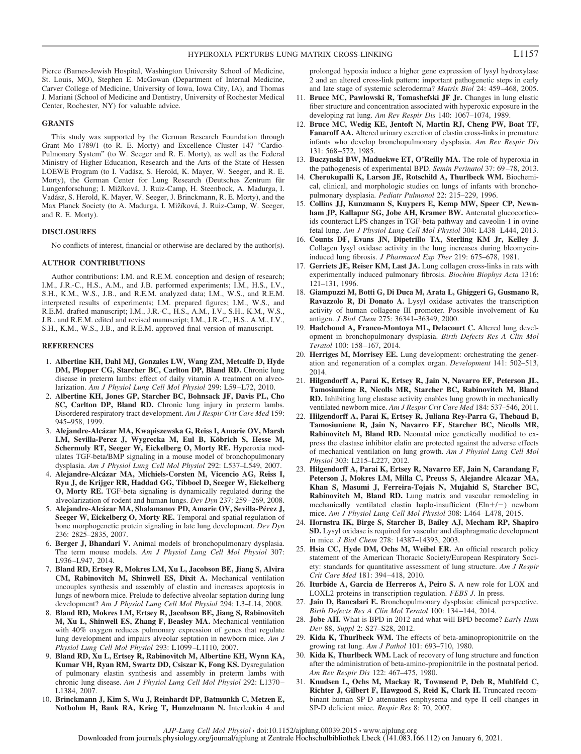Pierce (Barnes-Jewish Hospital, Washington University School of Medicine, St. Louis, MO), Stephen E. McGowan (Department of Internal Medicine, Carver College of Medicine, University of Iowa, Iowa City, IA), and Thomas J. Mariani (School of Medicine and Dentistry, University of Rochester Medical Center, Rochester, NY) for valuable advice.

#### **GRANTS**

This study was supported by the German Research Foundation through Grant Mo 1789/1 (to R. E. Morty) and Excellence Cluster 147 "Cardio-Pulmonary System" (to W. Seeger and R. E. Morty), as well as the Federal Ministry of Higher Education, Research and the Arts of the State of Hessen LOEWE Program (to I. Vadász, S. Herold, K. Mayer, W. Seeger, and R. E. Morty), the German Center for Lung Research (Deutsches Zentrum für Lungenforschung; I. Mižíková, J. Ruiz-Camp, H. Steenbock, A. Madurga, I. Vadász, S. Herold, K. Mayer, W. Seeger, J. Brinckmann, R. E. Morty), and the Max Planck Society (to A. Madurga, I. Mižíková, J. Ruiz-Camp, W. Seeger, and R. E. Morty).

#### **DISCLOSURES**

No conflicts of interest, financial or otherwise are declared by the author(s).

#### **AUTHOR CONTRIBUTIONS**

Author contributions: I.M. and R.E.M. conception and design of research; I.M., J.R.-C., H.S., A.M., and J.B. performed experiments; I.M., H.S., I.V., S.H., K.M., W.S., J.B., and R.E.M. analyzed data; I.M., W.S., and R.E.M. interpreted results of experiments; I.M. prepared figures; I.M., W.S., and R.E.M. drafted manuscript; I.M., J.R.-C., H.S., A.M., I.V., S.H., K.M., W.S., J.B., and R.E.M. edited and revised manuscript; I.M., J.R.-C., H.S., A.M., I.V., S.H., K.M., W.S., J.B., and R.E.M. approved final version of manuscript.

#### **REFERENCES**

- 1. **Albertine KH, Dahl MJ, Gonzales LW, Wang ZM, Metcalfe D, Hyde DM, Plopper CG, Starcher BC, Carlton DP, Bland RD.** Chronic lung disease in preterm lambs: effect of daily vitamin A treatment on alveolarization. *Am J Physiol Lung Cell Mol Physiol* 299: L59–L72, 2010.
- 2. **Albertine KH, Jones GP, Starcher BC, Bohnsack JF, Davis PL, Cho SC, Carlton DP, Bland RD.** Chronic lung injury in preterm lambs. Disordered respiratory tract development. *Am J Respir Crit Care Med* 159: 945–958, 1999.
- 3. **Alejandre-Alcázar MA, Kwapiszewska G, Reiss I, Amarie OV, Marsh LM, Sevilla-Perez J, Wygrecka M, Eul B, Köbrich S, Hesse M, Schermuly RT, Seeger W, Eickelberg O, Morty RE.** Hyperoxia modulates TGF-beta/BMP signaling in a mouse model of bronchopulmonary dysplasia. *Am J Physiol Lung Cell Mol Physiol* 292: L537–L549, 2007.
- 4. **Alejandre-Alcázar MA, Michiels-Corsten M, Vicencio AG, Reiss I, Ryu J, de Krijger RR, Haddad GG, Tibboel D, Seeger W, Eickelberg O, Morty RE.** TGF-beta signaling is dynamically regulated during the alveolarization of rodent and human lungs. *Dev Dyn* 237: 259–269, 2008.
- 5. **Alejandre-Alcázar MA, Shalamanov PD, Amarie OV, Sevilla-Pérez J, Seeger W, Eickelberg O, Morty RE.** Temporal and spatial regulation of bone morphogenetic protein signaling in late lung development. *Dev Dyn* 236: 2825–2835, 2007.
- 6. **Berger J, Bhandari V.** Animal models of bronchopulmonary dysplasia. The term mouse models. *Am J Physiol Lung Cell Mol Physiol* 307: L936–L947, 2014.
- 7. **Bland RD, Ertsey R, Mokres LM, Xu L, Jacobson BE, Jiang S, Alvira CM, Rabinovitch M, Shinwell ES, Dixit A.** Mechanical ventilation uncouples synthesis and assembly of elastin and increases apoptosis in lungs of newborn mice. Prelude to defective alveolar septation during lung development? *Am J Physiol Lung Cell Mol Physiol* 294: L3–L14, 2008.
- 8. **Bland RD, Mokres LM, Ertsey R, Jacobson BE, Jiang S, Rabinovitch M, Xu L, Shinwell ES, Zhang F, Beasley MA.** Mechanical ventilation with 40% oxygen reduces pulmonary expression of genes that regulate lung development and impairs alveolar septation in newborn mice. *Am J Physiol Lung Cell Mol Physiol* 293: L1099–L1110, 2007.
- 9. **Bland RD, Xu L, Ertsey R, Rabinovitch M, Albertine KH, Wynn KA, Kumar VH, Ryan RM, Swartz DD, Csiszar K, Fong KS.** Dysregulation of pulmonary elastin synthesis and assembly in preterm lambs with chronic lung disease. *Am J Physiol Lung Cell Mol Physiol* 292: L1370– L1384, 2007.
- 10. **Brinckmann J, Kim S, Wu J, Reinhardt DP, Batmunkh C, Metzen E, Notbohm H, Bank RA, Krieg T, Hunzelmann N.** Interleukin 4 and

prolonged hypoxia induce a higher gene expression of lysyl hydroxylase 2 and an altered cross-link pattern: important pathogenetic steps in early and late stage of systemic scleroderma? *Matrix Biol* 24: 459–468, 2005.

- 11. **Bruce MC, Pawlowski R, Tomashefski JF Jr.** Changes in lung elastic fiber structure and concentration associated with hyperoxic exposure in the developing rat lung. *Am Rev Respir Dis* 140: 1067–1074, 1989.
- 12. **Bruce MC, Wedig KE, Jentoft N, Martin RJ, Cheng PW, Boat TF, Fanaroff AA.** Altered urinary excretion of elastin cross-links in premature infants who develop bronchopulmonary dysplasia. *Am Rev Respir Dis* 131: 568–572, 1985.
- 13. **Buczynski BW, Maduekwe ET, O'Reilly MA.** The role of hyperoxia in the pathogenesis of experimental BPD. *Semin Perinatol* 37: 69–78, 2013.
- 14. **Cherukupalli K, Larson JE, Rotschild A, Thurlbeck WM.** Biochemical, clinical, and morphologic studies on lungs of infants with bronchopulmonary dysplasia. *Pediatr Pulmonol* 22: 215–229, 1996.
- 15. **Collins JJ, Kunzmann S, Kuypers E, Kemp MW, Speer CP, Newnham JP, Kallapur SG, Jobe AH, Kramer BW.** Antenatal glucocorticoids counteract LPS changes in TGF-beta pathway and caveolin-1 in ovine fetal lung. *Am J Physiol Lung Cell Mol Physiol* 304: L438–L444, 2013.
- 16. **Counts DF, Evans JN, Dipetrillo TA, Sterling KM Jr, Kelley J.** Collagen lysyl oxidase activity in the lung increases during bleomycininduced lung fibrosis. *J Pharmacol Exp Ther* 219: 675–678, 1981.
- 17. **Gerriets JE, Reiser KM, Last JA.** Lung collagen cross-links in rats with experimentally induced pulmonary fibrosis. *Biochim Biophys Acta* 1316: 121–131, 1996.
- 18. **Giampuzzi M, Botti G, Di Duca M, Arata L, Ghiggeri G, Gusmano R, Ravazzolo R, Di Donato A.** Lysyl oxidase activates the transcription activity of human collagene III promoter. Possible involvement of Ku antigen. *J Biol Chem* 275: 36341–36349, 2000.
- 19. **Hadchouel A, Franco-Montoya ML, Delacourt C.** Altered lung development in bronchopulmonary dysplasia. *Birth Defects Res A Clin Mol Teratol* 100: 158–167, 2014.
- 20. **Herriges M, Morrisey EE.** Lung development: orchestrating the generation and regeneration of a complex organ. *Development* 141: 502–513, 2014.
- 21. **Hilgendorff A, Parai K, Ertsey R, Jain N, Navarro EF, Peterson JL, Tamosiuniene R, Nicolls MR, Starcher BC, Rabinovitch M, Bland RD.** Inhibiting lung elastase activity enables lung growth in mechanically ventilated newborn mice. *Am J Respir Crit Care Med* 184: 537–546, 2011.
- 22. **Hilgendorff A, Parai K, Ertsey R, Juliana Rey-Parra G, Thebaud B, Tamosiuniene R, Jain N, Navarro EF, Starcher BC, Nicolls MR, Rabinovitch M, Bland RD.** Neonatal mice genetically modified to express the elastase inhibitor elafin are protected against the adverse effects of mechanical ventilation on lung growth. *Am J Physiol Lung Cell Mol Physiol* 303: L215–L227, 2012.
- 23. **Hilgendorff A, Parai K, Ertsey R, Navarro EF, Jain N, Carandang F, Peterson J, Mokres LM, Milla C, Preuss S, Alejandre Alcazar MA, Khan S, Masumi J, Ferreira-Tojais N, Mujahid S, Starcher BC, Rabinovitch M, Bland RD.** Lung matrix and vascular remodeling in mechanically ventilated elastin haplo-insufficient  $(Eln+/-)$  newborn mice. *Am J Physiol Lung Cell Mol Physiol* 308: L464–L478, 2015.
- 24. **Hornstra IK, Birge S, Starcher B, Bailey AJ, Mecham RP, Shapiro SD.** Lysyl oxidase is required for vascular and diaphragmatic development in mice. *J Biol Chem* 278: 14387–14393, 2003.
- 25. **Hsia CC, Hyde DM, Ochs M, Weibel ER.** An official research policy statement of the American Thoracic Society/European Respiratory Society: standards for quantitative assessment of lung structure. *Am J Respir Crit Care Med* 181: 394–418, 2010.
- 26. **Iturbide A, Garcia de Herreros A, Peiro S.** A new role for LOX and LOXL2 proteins in transcription regulation. *FEBS J*. In press.
- 27. **Jain D, Bancalari E.** Bronchopulmonary dysplasia: clinical perspective. *Birth Defects Res A Clin Mol Teratol* 100: 134–144, 2014.
- 28. **Jobe AH.** What is BPD in 2012 and what will BPD become? *Early Hum Dev* 88, *Suppl* 2: S27–S28, 2012.
- 29. **Kida K, Thurlbeck WM.** The effects of beta-aminopropionitrile on the growing rat lung. *Am J Pathol* 101: 693–710, 1980.
- 30. **Kida K, Thurlbeck WM.** Lack of recovery of lung structure and function after the administration of beta-amino-propionitrile in the postnatal period. *Am Rev Respir Dis* 122: 467–475, 1980.
- 31. **Knudsen L, Ochs M, Mackay R, Townsend P, Deb R, Muhlfeld C, Richter J, Gilbert F, Hawgood S, Reid K, Clark H.** Truncated recombinant human SP-D attenuates emphysema and type II cell changes in SP-D deficient mice. *Respir Res* 8: 70, 2007.